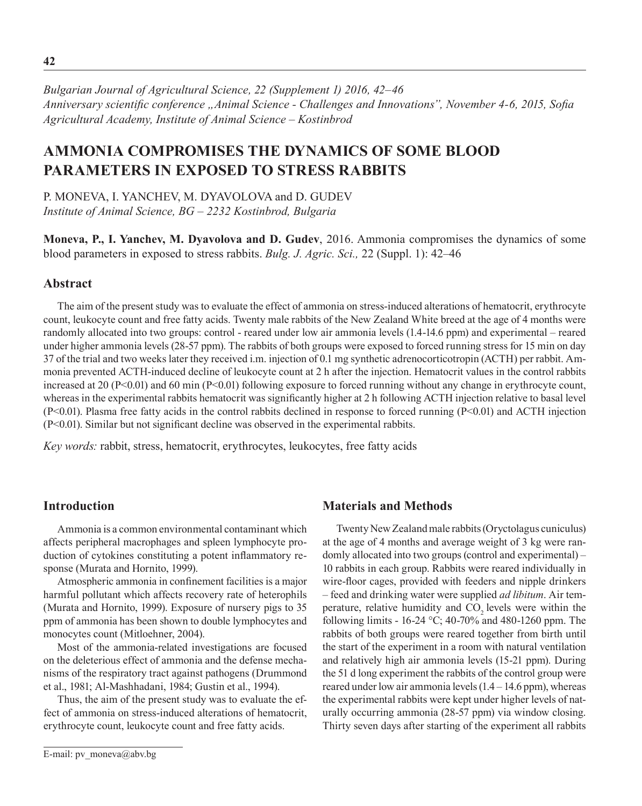*Bulgarian Journal of Agricultural Science, 22 (Supplement 1) 2016, 42–46 Anniversary scientific conference "Animal Science - Challenges and Innovations", November 4-6, 2015, Sofia Agricultural Academy, Institute оf Animal Science – Kostinbrod*

# **AMMONIA COMPROMISES THE DYNAMICS OF SOME BLOOD PARAMETERS IN EXPOSED TO STRESS RABBITS**

P. MONEVA, I. YANCHEV, M. DYAVOLOVA and D. GUDEV *Institute of Animal Science, BG – 2232 Kostinbrod, Bulgaria*

**Moneva, P., I. Yanchev, M. Dyavolova and D. Gudev**, 2016. Ammonia compromises the dynamics of some blood parameters in exposed to stress rabbits. *Bulg. J. Agric. Sci.,* 22 (Suppl. 1): 42–46

## **Abstract**

The aim of the present study was to evaluate the effect of ammonia on stress-induced alterations of hematocrit, erythrocyte count, leukocyte count and free fatty acids. Twenty male rabbits of the New Zealand White breed at the age of 4 months were randomly allocated into two groups: control - reared under low air ammonia levels (1.4-14.6 ppm) and experimental – reared under higher ammonia levels (28-57 ppm). The rabbits of both groups were exposed to forced running stress for 15 min on day 37 of the trial and two weeks later they received i.m. injection of 0.1 mg synthetic adrenocorticotropin (ACTH) per rabbit. Ammonia prevented ACTH-induced decline of leukocyte count at 2 h after the injection. Hematocrit values in the control rabbits increased at 20 (P<0.01) and 60 min (P<0.01) following exposure to forced running without any change in erythrocyte count, whereas in the experimental rabbits hematocrit was significantly higher at 2 h following ACTH injection relative to basal level (P<0.01). Plasma free fatty acids in the control rabbits declined in response to forced running (P<0.01) and ACTH injection (P<0.01). Similar but not significant decline was observed in the experimental rabbits.

*Key words:* rabbit, stress, hematocrit, erythrocytes, leukocytes, free fatty acids

### **Introduction**

Ammonia is a common environmental contaminant which affects peripheral macrophages and spleen lymphocyte production of cytokines constituting a potent inflammatory response (Murata and Hornito, 1999).

Atmospheric ammonia in confinement facilities is a major harmful pollutant which affects recovery rate of heterophils (Murata and Hornito, 1999). Exposure of nursery pigs to 35 ppm of ammonia has been shown to double lymphocytes and monocytes count (Mitloehner, 2004).

Most of the ammonia-related investigations are focused on the deleterious effect of ammonia and the defense mechanisms of the respiratory tract against pathogens (Drummond et al., 1981; Al-Mashhadani, 1984; Gustin et al., 1994).

Thus, the aim of the present study was to evaluate the effect of ammonia on stress-induced alterations of hematocrit, erythrocyte count, leukocyte count and free fatty acids.

#### **Materials and Methods**

Twenty New Zealand male rabbits (Oryctolagus cuniculus) at the age of 4 months and average weight of 3 kg were randomly allocated into two groups (control and experimental) – 10 rabbits in each group. Rabbits were reared individually in wire-floor cages, provided with feeders and nipple drinkers – feed and drinking water were supplied *ad libitum*. Air temperature, relative humidity and CO<sub>2</sub> levels were within the following limits - 16-24 °C; 40-70% and 480-1260 ppm. The rabbits of both groups were reared together from birth until the start of the experiment in a room with natural ventilation and relatively high air ammonia levels (15-21 ppm). During the 51 d long experiment the rabbits of the control group were reared under low air ammonia levels  $(1.4 - 14.6$  ppm), whereas the experimental rabbits were kept under higher levels of naturally occurring ammonia (28-57 ppm) via window closing. Thirty seven days after starting of the experiment all rabbits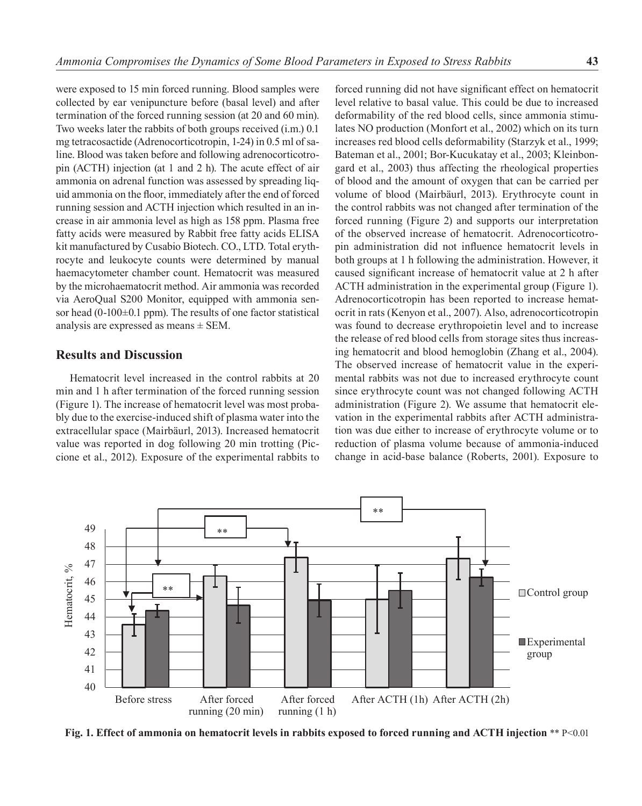were exposed to 15 min forced running. Blood samples were collected by ear venipuncture before (basal level) and after termination of the forced running session (at 20 and 60 min). Two weeks later the rabbits of both groups received (i.m.) 0.1 mg tetracosactide (Adrenocorticotropin, 1-24) in 0.5 ml of saline. Blood was taken before and following adrenocorticotropin (ACTH) injection (at 1 and 2 h). The acute effect of air ammonia on adrenal function was assessed by spreading liquid ammonia on the floor, immediately after the end of forced running session and ACTH injection which resulted in an increase in air ammonia level as high as 158 ppm. Plasma free fatty acids were measured by Rabbit free fatty acids ELISA kit manufactured by Cusabio Biotech. CO., LTD. Total erythrocyte and leukocyte counts were determined by manual haemacytometer chamber count. Hematocrit was measured by the microhaematocrit method. Air ammonia was recorded via AeroQual S200 Monitor, equipped with ammonia sensor head (0-100 $\pm$ 0.1 ppm). The results of one factor statistical analysis are expressed as means ± SEM.

#### **Results and Discussion**

Hematocrit level increased in the control rabbits at 20 min and 1 h after termination of the forced running session (Figure 1). The increase of hematocrit level was most probably due to the exercise-induced shift of plasma water into the extracellular space (Mairbäurl, 2013). Increased hematocrit value was reported in dog following 20 min trotting (Piccione et al., 2012). Exposure of the experimental rabbits to

forced running did not have significant effect on hematocrit level relative to basal value. This could be due to increased deformability of the red blood cells, since ammonia stimulates NO production (Monfort et al., 2002) which on its turn increases red blood cells deformability (Starzyk et al., 1999; Bateman et al., 2001; Bor-Kucukatay et al., 2003; Kleinbongard et al., 2003) thus affecting the rheological properties of blood and the amount of oxygen that can be carried per volume of blood (Mairbäurl, 2013). Erythrocyte count in the control rabbits was not changed after termination of the forced running (Figure 2) and supports our interpretation of the observed increase of hematocrit. Adrenocorticotropin administration did not influence hematocrit levels in both groups at 1 h following the administration. However, it caused significant increase of hematocrit value at 2 h after ACTH administration in the experimental group (Figure 1). Adrenocorticotropin has been reported to increase hematocrit in rats (Kenyon et al., 2007). Also, adrenocorticotropin was found to decrease erythropoietin level and to increase the release of red blood cells from storage sites thus increasing hematocrit and blood hemoglobin (Zhang et al., 2004). The observed increase of hematocrit value in the experimental rabbits was not due to increased erythrocyte count since erythrocyte count was not changed following ACTH administration (Figure 2). We assume that hematocrit elevation in the experimental rabbits after ACTH administration was due either to increase of erythrocyte volume or to reduction of plasma volume because of ammonia-induced change in acid-base balance (Roberts, 2001). Exposure to



**Fig. 1. Effect of ammonia on hematocrit levels in rabbits exposed to forced running and ACTH injection** \*\* P<0.01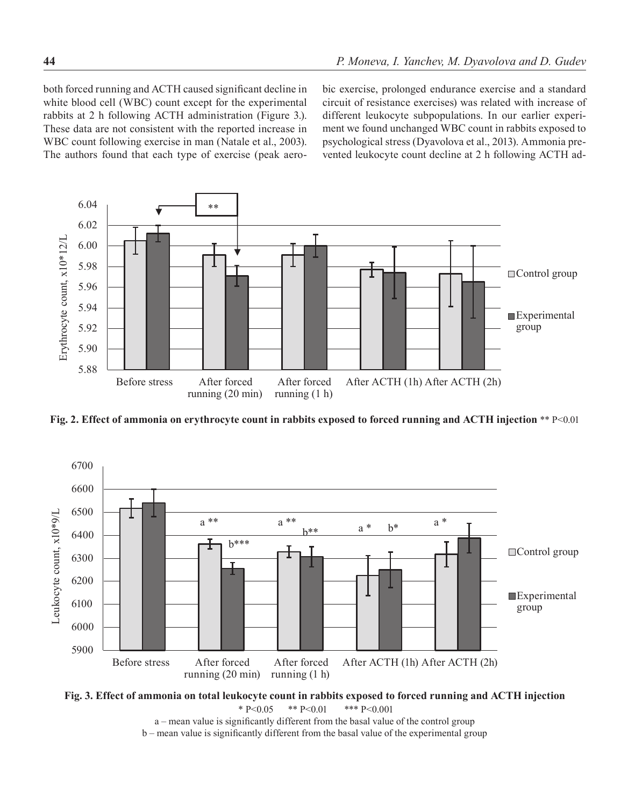both forced running and ACTH caused significant decline in white blood cell (WBC) count except for the experimental rabbits at 2 h following ACTH administration (Figure 3.). These data are not consistent with the reported increase in WBC count following exercise in man (Natale et al., 2003). The authors found that each type of exercise (peak aerobic exercise, prolonged endurance exercise and a standard circuit of resistance exercises) was related with increase of different leukocyte subpopulations. In our earlier experiment we found unchanged WBC count in rabbits exposed to psychological stress (Dyavolova et al., 2013). Ammonia prevented leukocyte count decline at 2 h following ACTH ad-



**Fig. 2. Effect of ammonia on erythrocyte count in rabbits exposed to forced running and ACTH injection** \*\* P<0.01



**Fig. 3. Effect of ammonia on total leukocyte count in rabbits exposed to forced running and ACTH injection** \* P<0.05 \*\* P<0.01 \*\*\* P<0.001

a – mean value is significantly different from the basal value of the control group

b – mean value is significantly different from the basal value of the experimental group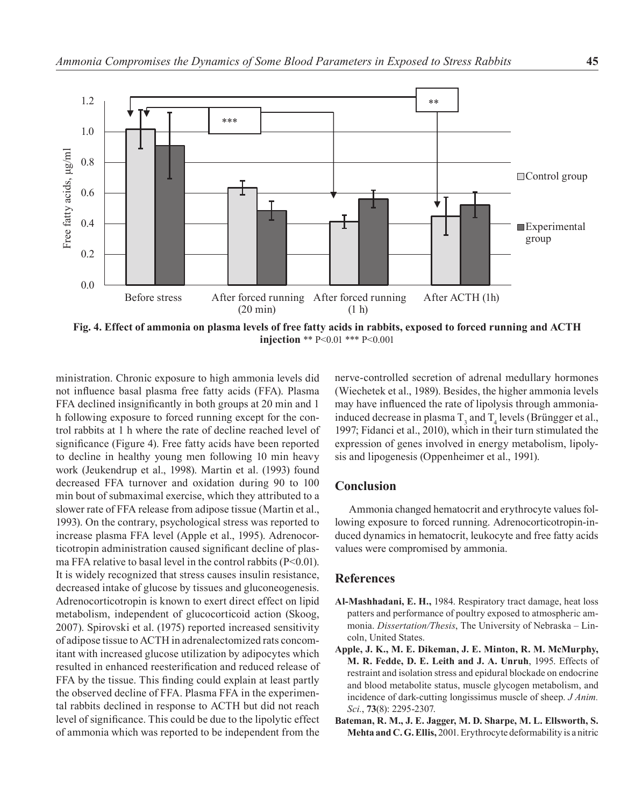

**injection** \*\* P<0.01 \*\*\* P<0.001

ministration. Chronic exposure to high ammonia levels did not influence basal plasma free fatty acids (FFA). Plasma FFA declined insignificantly in both groups at 20 min and 1 h following exposure to forced running except for the control rabbits at 1 h where the rate of decline reached level of significance (Figure 4). Free fatty acids have been reported to decline in healthy young men following 10 min heavy work (Jeukendrup et al., 1998). Martin et al. (1993) found decreased FFA turnover and oxidation during 90 to 100 min bout of submaximal exercise, which they attributed to a slower rate of FFA release from adipose tissue (Martin et al., 1993). On the contrary, psychological stress was reported to increase plasma FFA level (Apple et al., 1995). Adrenocorticotropin administration caused significant decline of plasma FFA relative to basal level in the control rabbits  $(P<0.01)$ . It is widely recognized that stress causes insulin resistance, decreased intake of glucose by tissues and gluconeogenesis. Adrenocorticotropin is known to exert direct effect on lipid metabolism, independent of glucocorticoid action (Skoog, 2007). Spirovski et al. (1975) reported increased sensitivity of adipose tissue to ACTH in adrenalectomized rats concomitant with increased glucose utilization by adipocytes which resulted in enhanced reesterification and reduced release of FFA by the tissue. This finding could explain at least partly the observed decline of FFA. Plasma FFA in the experimental rabbits declined in response to ACTH but did not reach level of significance. This could be due to the lipolytic effect of ammonia which was reported to be independent from the nerve-controlled secretion of adrenal medullary hormones (Wiechetek et al., 1989). Besides, the higher ammonia levels may have influenced the rate of lipolysis through ammoniainduced decrease in plasma  $T_3$  and  $T_4$  levels (Brüngger et al., 1997; Fidanci et al., 2010), which in their turn stimulated the expression of genes involved in energy metabolism, lipolysis and lipogenesis (Oppenheimer et al., 1991).

## **Conclusion**

Ammonia changed hematocrit and erythrocyte values following exposure to forced running. Adrenocorticotropin-induced dynamics in hematocrit, leukocyte and free fatty acids values were compromised by ammonia.

#### **References**

- **Al-Mashhadani, E. H.,** 1984. Respiratory tract damage, heat loss patters and performance of poultry exposed to atmospheric ammonia. *Dissertation/Thesis*, The University of Nebraska – Lincoln, United States.
- **Apple, J. K., M. E. Dikeman, J. E. Minton, R. M. McMurphy, M. R. Fedde, D. E. Leith and J. A. Unruh**, 1995. Effects of restraint and isolation stress and epidural blockade on endocrine and blood metabolite status, muscle glycogen metabolism, and incidence of dark-cutting longissimus muscle of sheep. *J Anim. Sci.*, **73**(8): 2295-2307.
- **Bateman, R. M., J. E. Jagger, M. D. Sharpe, M. L. Ellsworth, S. Mehta and C. G. Ellis,** 2001. Erythrocyte deformability is a nitric